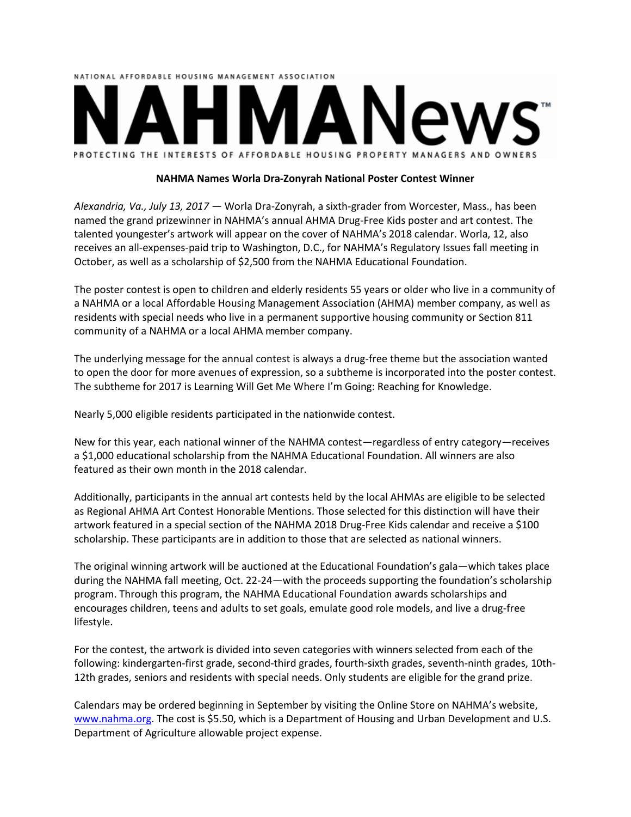

## **NAHMA Names Worla Dra-Zonyrah National Poster Contest Winner**

*Alexandria, Va., July 13, 2017 ―* Worla Dra-Zonyrah, a sixth-grader from Worcester, Mass., has been named the grand prizewinner in NAHMA's annual AHMA Drug-Free Kids poster and art contest. The talented youngester's artwork will appear on the cover of NAHMA's 2018 calendar. Worla, 12, also receives an all-expenses-paid trip to Washington, D.C., for NAHMA's Regulatory Issues fall meeting in October, as well as a scholarship of \$2,500 from the NAHMA Educational Foundation.

The poster contest is open to children and elderly residents 55 years or older who live in a community of a NAHMA or a local Affordable Housing Management Association (AHMA) member company, as well as residents with special needs who live in a permanent supportive housing community or Section 811 community of a NAHMA or a local AHMA member company.

The underlying message for the annual contest is always a drug-free theme but the association wanted to open the door for more avenues of expression, so a subtheme is incorporated into the poster contest. The subtheme for 2017 is Learning Will Get Me Where I'm Going: Reaching for Knowledge.

Nearly 5,000 eligible residents participated in the nationwide contest.

New for this year, each national winner of the NAHMA contest—regardless of entry category—receives a \$1,000 educational scholarship from the NAHMA Educational Foundation. All winners are also featured as their own month in the 2018 calendar.

Additionally, participants in the annual art contests held by the local AHMAs are eligible to be selected as Regional AHMA Art Contest Honorable Mentions. Those selected for this distinction will have their artwork featured in a special section of the NAHMA 2018 Drug-Free Kids calendar and receive a \$100 scholarship. These participants are in addition to those that are selected as national winners.

The original winning artwork will be auctioned at the Educational Foundation's gala—which takes place during the NAHMA fall meeting, Oct. 22-24—with the proceeds supporting the foundation's scholarship program. Through this program, the NAHMA Educational Foundation awards scholarships and encourages children, teens and adults to set goals, emulate good role models, and live a drug-free lifestyle.

For the contest, the artwork is divided into seven categories with winners selected from each of the following: kindergarten-first grade, second-third grades, fourth-sixth grades, seventh-ninth grades, 10th-12th grades, seniors and residents with special needs. Only students are eligible for the grand prize.

Calendars may be ordered beginning in September by visiting the Online Store on NAHMA's website, [www.nahma.org.](http://www.nahma.org/) The cost is \$5.50, which is a Department of Housing and Urban Development and U.S. Department of Agriculture allowable project expense.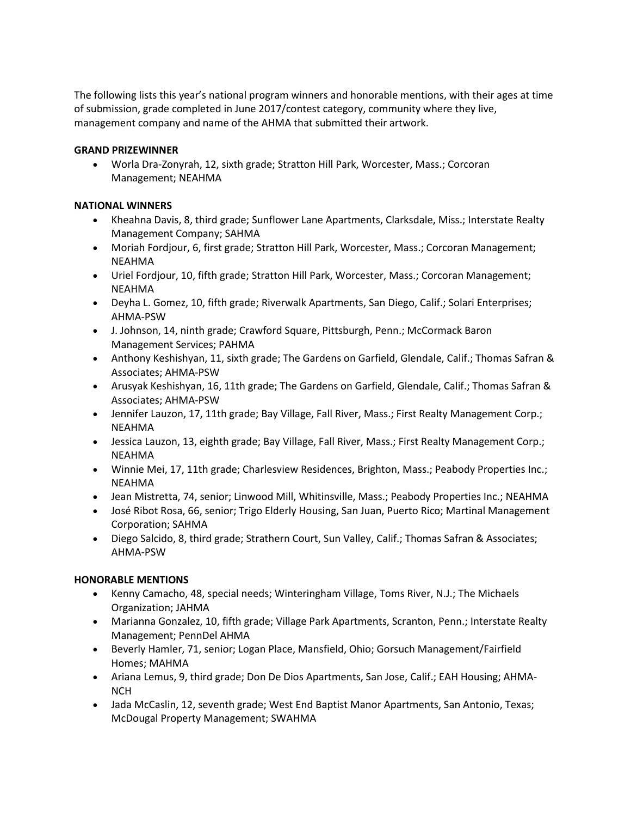The following lists this year's national program winners and honorable mentions, with their ages at time of submission, grade completed in June 2017/contest category, community where they live, management company and name of the AHMA that submitted their artwork.

# **GRAND PRIZEWINNER**

 Worla Dra-Zonyrah, 12, sixth grade; Stratton Hill Park, Worcester, Mass.; Corcoran Management; NEAHMA

## **NATIONAL WINNERS**

- Kheahna Davis, 8, third grade; Sunflower Lane Apartments, Clarksdale, Miss.; Interstate Realty Management Company; SAHMA
- Moriah Fordjour, 6, first grade; Stratton Hill Park, Worcester, Mass.; Corcoran Management; NEAHMA
- Uriel Fordjour, 10, fifth grade; Stratton Hill Park, Worcester, Mass.; Corcoran Management; NEAHMA
- Deyha L. Gomez, 10, fifth grade; Riverwalk Apartments, San Diego, Calif.; Solari Enterprises; AHMA-PSW
- J. Johnson, 14, ninth grade; Crawford Square, Pittsburgh, Penn.; McCormack Baron Management Services; PAHMA
- Anthony Keshishyan, 11, sixth grade; The Gardens on Garfield, Glendale, Calif.; Thomas Safran & Associates; AHMA-PSW
- Arusyak Keshishyan, 16, 11th grade; The Gardens on Garfield, Glendale, Calif.; Thomas Safran & Associates; AHMA-PSW
- Jennifer Lauzon, 17, 11th grade; Bay Village, Fall River, Mass.; First Realty Management Corp.; NEAHMA
- Jessica Lauzon, 13, eighth grade; Bay Village, Fall River, Mass.; First Realty Management Corp.; NEAHMA
- Winnie Mei, 17, 11th grade; Charlesview Residences, Brighton, Mass.; Peabody Properties Inc.; NEAHMA
- Jean Mistretta, 74, senior; Linwood Mill, Whitinsville, Mass.; Peabody Properties Inc.; NEAHMA
- José Ribot Rosa, 66, senior; Trigo Elderly Housing, San Juan, Puerto Rico; Martinal Management Corporation; SAHMA
- Diego Salcido, 8, third grade; Strathern Court, Sun Valley, Calif.; Thomas Safran & Associates; AHMA-PSW

# **HONORABLE MENTIONS**

- Kenny Camacho, 48, special needs; Winteringham Village, Toms River, N.J.; The Michaels Organization; JAHMA
- Marianna Gonzalez, 10, fifth grade; Village Park Apartments, Scranton, Penn.; Interstate Realty Management; PennDel AHMA
- Beverly Hamler, 71, senior; Logan Place, Mansfield, Ohio; Gorsuch Management/Fairfield Homes; MAHMA
- Ariana Lemus, 9, third grade; Don De Dios Apartments, San Jose, Calif.; EAH Housing; AHMA-**NCH**
- Jada McCaslin, 12, seventh grade; West End Baptist Manor Apartments, San Antonio, Texas; McDougal Property Management; SWAHMA